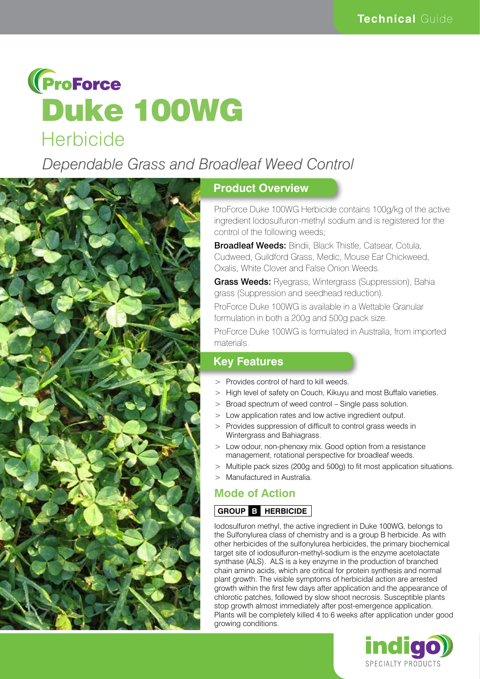

*Dependable Grass and Broadleaf Weed Control*



#### **Product Overview**

ProForce Duke 100WG Herbicide contains 100g/kg of the active ingredient Iodosulfuron-methyl sodium and is registered for the control of the following weeds;

**Broadleaf Weeds: Bindii, Black Thistle, Catsear, Cotula,** Cudweed, Guildford Grass, Medic, Mouse Ear Chickweed, Oxalis, White Clover and False Onion Weeds.

**Grass Weeds:** Ryegrass, Wintergrass (Suppression), Bahia grass (Suppression and seedhead reduction).

ProForce Duke 100WG is available in a Wettable Granular formulation in both a 200g and 500g pack size.

ProForce Duke 100WG is formulated in Australia, from imported materials.

### **Key Features**

- > Provides control of hard to kill weeds.
- > High level of safety on Couch, Kikuyu and most Buffalo varieties.
- > Broad spectrum of weed control Single pass solution.
- > Low application rates and low active ingredient output.
- > Provides suppression of difficult to control grass weeds in Wintergrass and Bahiagrass.
- > Low odour, non-phenoxy mix. Good option from a resistance management, rotational perspective for broadleaf weeds.
- > Multiple pack sizes (200g and 500g) to fit most application situations.
- > Manufactured in Australia.

## **Mode of Action**

#### **GROUP B HERBICIDE**

Iodosulfuron methyl, the active ingredient in Duke 100WG, belongs to the Sulfonylurea class of chemistry and is a group B herbicide. As with other herbicides of the sulfonylurea herbicides, the primary biochemical target site of iodosulfuron-methyl-sodium is the enzyme acetolactate synthase (ALS). ALS is a key enzyme in the production of branched chain amino acids, which are critical for protein synthesis and normal plant growth. The visible symptoms of herbicidal action are arrested growth within the first few days after application and the appearance of chlorotic patches, followed by slow shoot necrosis. Susceptible plants stop growth almost immediately after post-emergence application. Plants will be completely killed 4 to 6 weeks after application under good growing conditions.